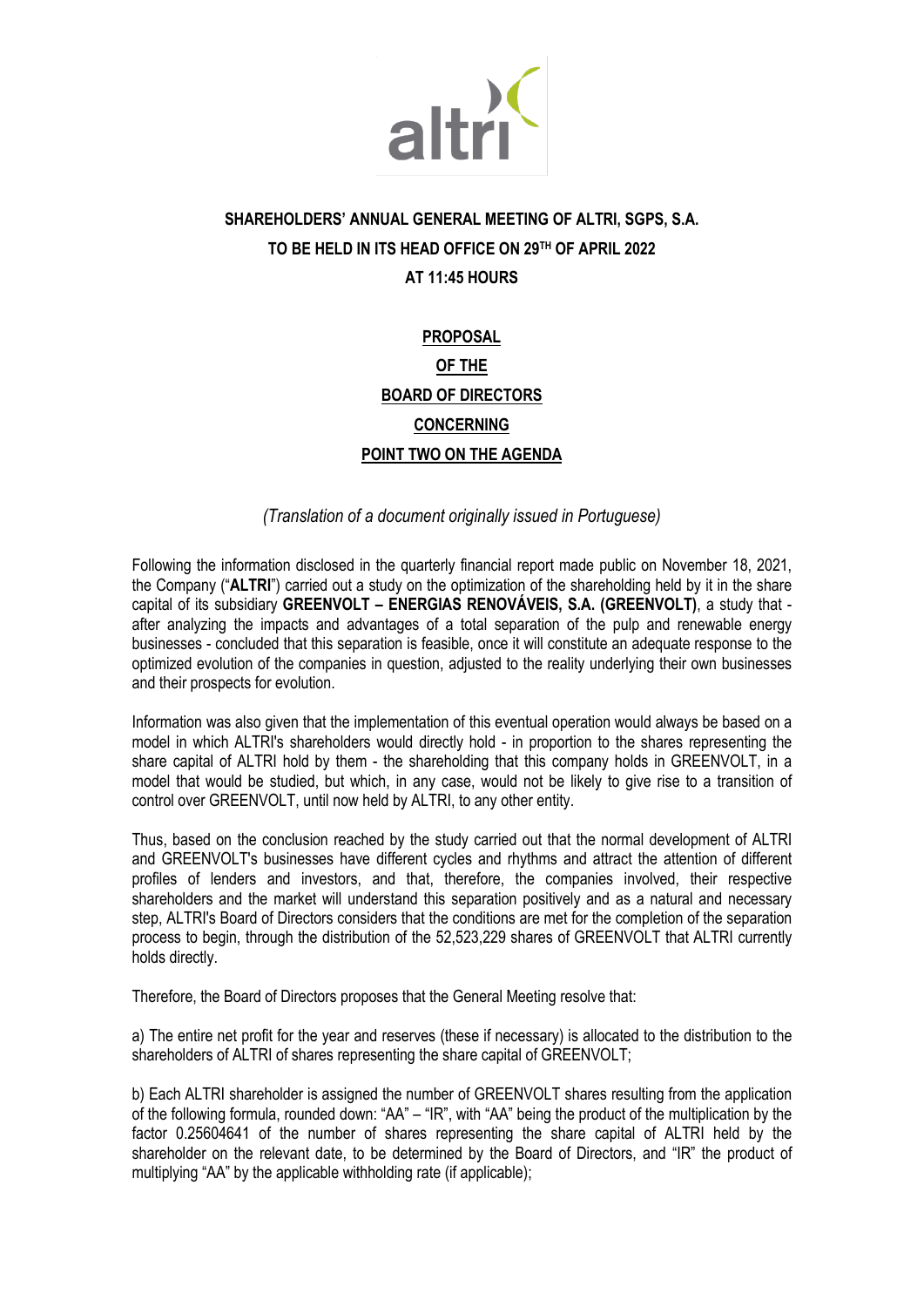

## **SHAREHOLDERS' ANNUAL GENERAL MEETING OF ALTRI, SGPS, S.A. TO BE HELD IN ITS HEAD OFFICE ON 29TH OF APRIL 2022 AT 11:45 HOURS**

# **PROPOSAL OF THE BOARD OF DIRECTORS CONCERNING POINT TWO ON THE AGENDA**

### *(Translation of a document originally issued in Portuguese)*

Following the information disclosed in the quarterly financial report made public on November 18, 2021, the Company ("**ALTRI**") carried out a study on the optimization of the shareholding held by it in the share capital of its subsidiary **GREENVOLT – ENERGIAS RENOVÁVEIS, S.A. (GREENVOLT)**, a study that after analyzing the impacts and advantages of a total separation of the pulp and renewable energy businesses - concluded that this separation is feasible, once it will constitute an adequate response to the optimized evolution of the companies in question, adjusted to the reality underlying their own businesses and their prospects for evolution.

Information was also given that the implementation of this eventual operation would always be based on a model in which ALTRI's shareholders would directly hold - in proportion to the shares representing the share capital of ALTRI hold by them - the shareholding that this company holds in GREENVOLT, in a model that would be studied, but which, in any case, would not be likely to give rise to a transition of control over GREENVOLT, until now held by ALTRI, to any other entity.

Thus, based on the conclusion reached by the study carried out that the normal development of ALTRI and GREENVOLT's businesses have different cycles and rhythms and attract the attention of different profiles of lenders and investors, and that, therefore, the companies involved, their respective shareholders and the market will understand this separation positively and as a natural and necessary step, ALTRI's Board of Directors considers that the conditions are met for the completion of the separation process to begin, through the distribution of the 52,523,229 shares of GREENVOLT that ALTRI currently holds directly.

Therefore, the Board of Directors proposes that the General Meeting resolve that:

a) The entire net profit for the year and reserves (these if necessary) is allocated to the distribution to the shareholders of ALTRI of shares representing the share capital of GREENVOLT;

b) Each ALTRI shareholder is assigned the number of GREENVOLT shares resulting from the application of the following formula, rounded down: "AA" – "IR", with "AA" being the product of the multiplication by the factor 0.25604641 of the number of shares representing the share capital of ALTRI held by the shareholder on the relevant date, to be determined by the Board of Directors, and "IR" the product of multiplying "AA" by the applicable withholding rate (if applicable);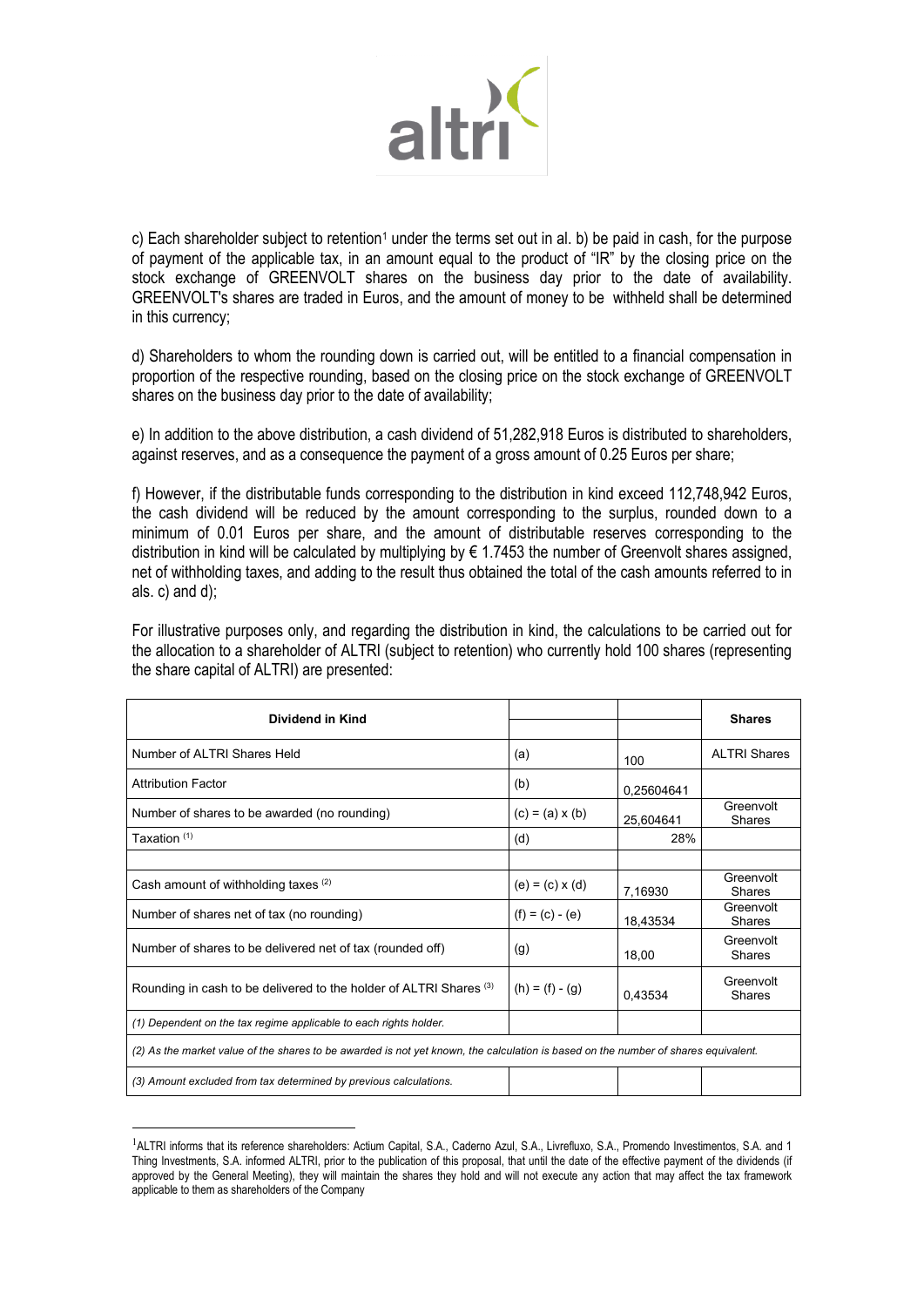

c) Each shareholder subject to retention<sup>1</sup> under the terms set out in al. b) be paid in cash, for the purpose of payment of the applicable tax, in an amount equal to the product of "IR" by the closing price on the stock exchange of GREENVOLT shares on the business day prior to the date of availability. GREENVOLT's shares are traded in Euros, and the amount of money to be withheld shall be determined in this currency;

d) Shareholders to whom the rounding down is carried out, will be entitled to a financial compensation in proportion of the respective rounding, based on the closing price on the stock exchange of GREENVOLT shares on the business day prior to the date of availability;

e) In addition to the above distribution, a cash dividend of 51,282,918 Euros is distributed to shareholders, against reserves, and as a consequence the payment of a gross amount of 0.25 Euros per share;

f) However, if the distributable funds corresponding to the distribution in kind exceed 112,748,942 Euros, the cash dividend will be reduced by the amount corresponding to the surplus, rounded down to a minimum of 0.01 Euros per share, and the amount of distributable reserves corresponding to the distribution in kind will be calculated by multiplying by  $\epsilon$  1.7453 the number of Greenvolt shares assigned, net of withholding taxes, and adding to the result thus obtained the total of the cash amounts referred to in als. c) and d);

For illustrative purposes only, and regarding the distribution in kind, the calculations to be carried out for the allocation to a shareholder of ALTRI (subject to retention) who currently hold 100 shares (representing the share capital of ALTRI) are presented:

| Dividend in Kind                                                                                                                   |                   |            | <b>Shares</b>              |
|------------------------------------------------------------------------------------------------------------------------------------|-------------------|------------|----------------------------|
| Number of ALTRI Shares Held                                                                                                        | (a)               | 100        | AI TRI Shares              |
| <b>Attribution Factor</b>                                                                                                          | (b)               | 0,25604641 |                            |
| Number of shares to be awarded (no rounding)                                                                                       | $(c) = (a) x (b)$ | 25,604641  | Greenvolt<br>Shares        |
| Taxation (1)                                                                                                                       | (d)               | 28%        |                            |
|                                                                                                                                    |                   |            |                            |
| Cash amount of withholding taxes (2)                                                                                               | $(e) = (c) x (d)$ | 7,16930    | Greenvolt<br><b>Shares</b> |
| Number of shares net of tax (no rounding)                                                                                          | $(f) = (c) - (e)$ | 18,43534   | Greenvolt<br>Shares        |
| Number of shares to be delivered net of tax (rounded off)                                                                          | (g)               | 18,00      | Greenvolt<br><b>Shares</b> |
| Rounding in cash to be delivered to the holder of ALTRI Shares (3)                                                                 | $(h) = (f) - (g)$ | 0,43534    | Greenvolt<br>Shares        |
| (1) Dependent on the tax regime applicable to each rights holder.                                                                  |                   |            |                            |
| (2) As the market value of the shares to be awarded is not yet known, the calculation is based on the number of shares equivalent. |                   |            |                            |
| (3) Amount excluded from tax determined by previous calculations.                                                                  |                   |            |                            |

<span id="page-1-0"></span><sup>&</sup>lt;sup>1</sup>ALTRI informs that its reference shareholders: Actium Capital, S.A., Caderno Azul, S.A., Livrefluxo, S.A., Promendo Investimentos, S.A. and 1 Thing Investments, S.A. informed ALTRI, prior to the publication of this proposal, that until the date of the effective payment of the dividends (if approved by the General Meeting), they will maintain the shares they hold and will not execute any action that may affect the tax framework applicable to them as shareholders of the Company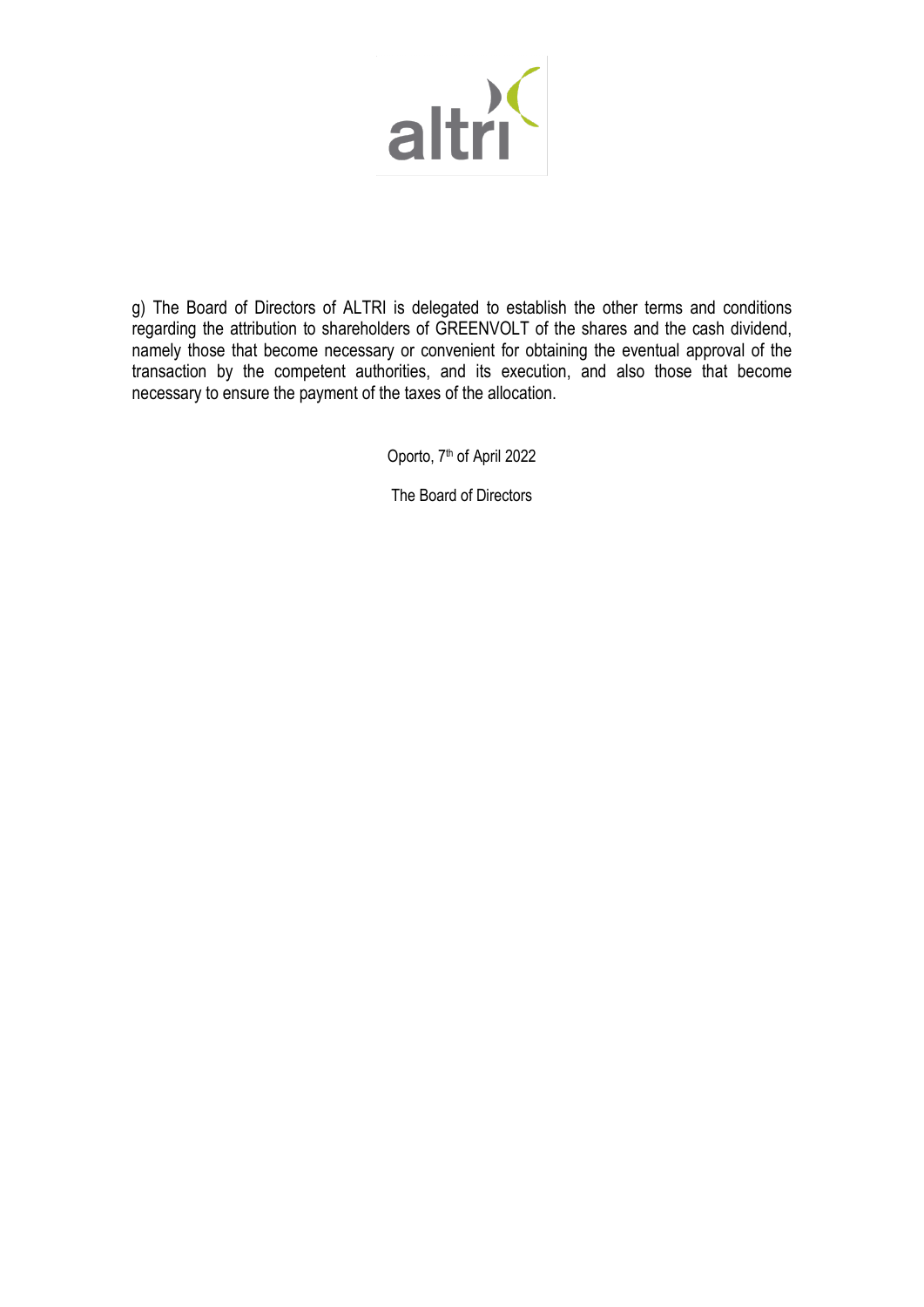

g) The Board of Directors of ALTRI is delegated to establish the other terms and conditions regarding the attribution to shareholders of GREENVOLT of the shares and the cash dividend, namely those that become necessary or convenient for obtaining the eventual approval of the transaction by the competent authorities, and its execution, and also those that become necessary to ensure the payment of the taxes of the allocation.

Oporto, 7<sup>th</sup> of April 2022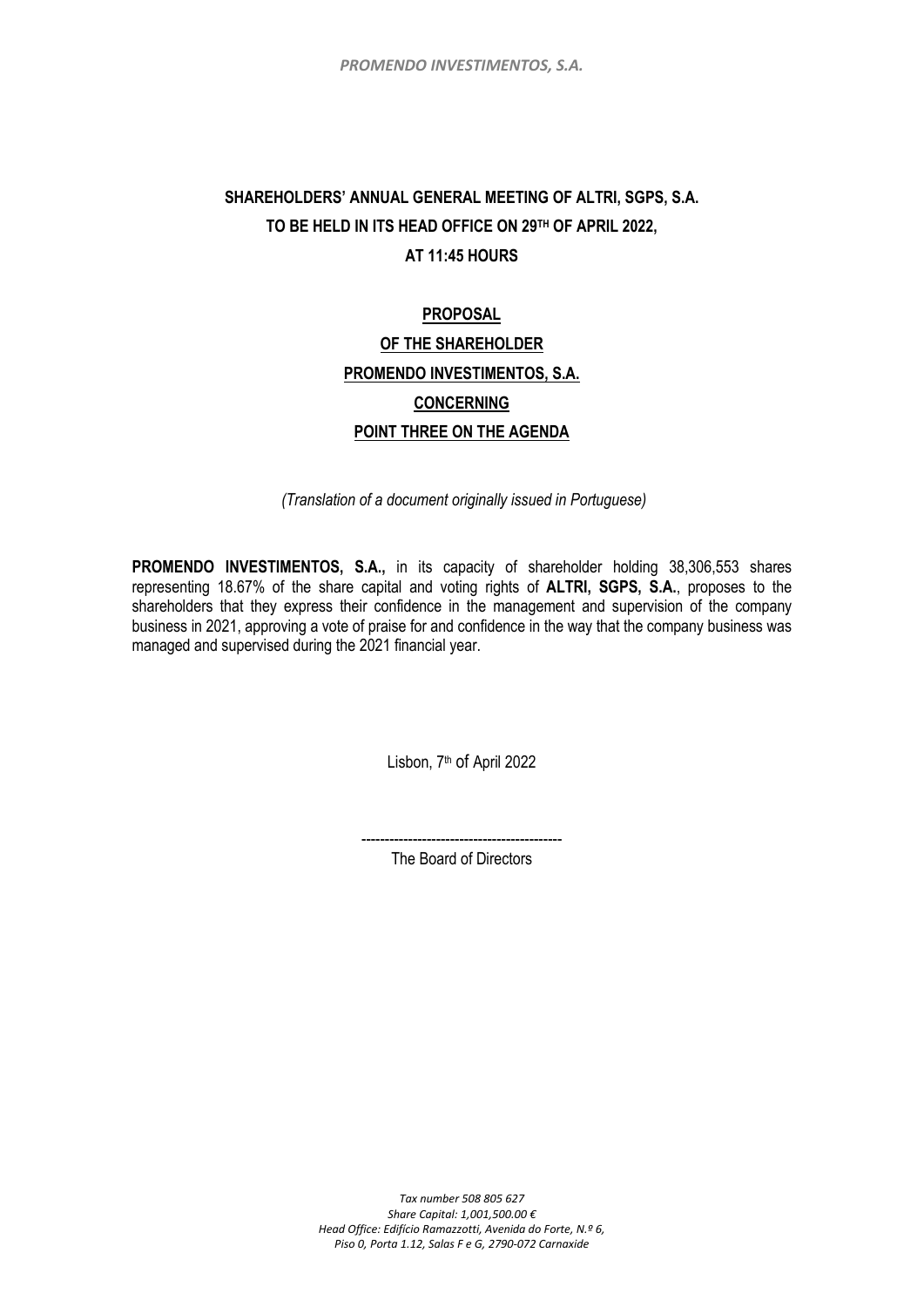## **SHAREHOLDERS' ANNUAL GENERAL MEETING OF ALTRI, SGPS, S.A. TO BE HELD IN ITS HEAD OFFICE ON 29TH OF APRIL 2022, AT 11:45 HOURS**

## **PROPOSAL OF THE SHAREHOLDER PROMENDO INVESTIMENTOS, S.A. CONCERNING POINT THREE ON THE AGENDA**

*(Translation of a document originally issued in Portuguese)*

**PROMENDO INVESTIMENTOS, S.A.,** in its capacity of shareholder holding 38,306,553 shares representing 18.67% of the share capital and voting rights of **ALTRI, SGPS, S.A.**, proposes to the shareholders that they express their confidence in the management and supervision of the company business in 2021, approving a vote of praise for and confidence in the way that the company business was managed and supervised during the 2021 financial year.

Lisbon, 7<sup>th</sup> of April 2022

------------------------------------------- The Board of Directors

*Tax number 508 805 627 Share Capital: 1,001,500.00 € Head Office: Edifício Ramazzotti, Avenida do Forte, N.º 6, Piso 0, Porta 1.12, Salas F e G, 2790-072 Carnaxide*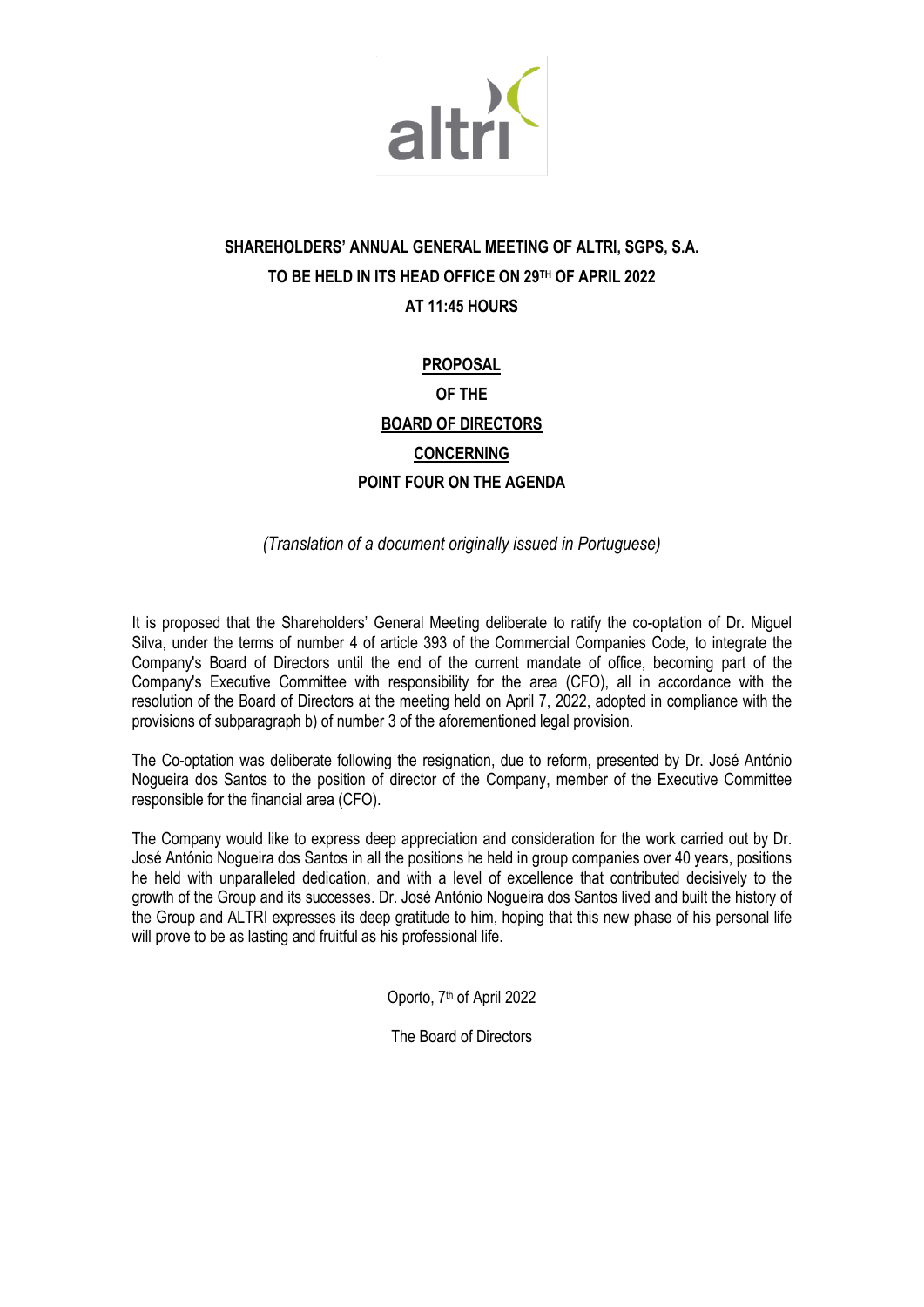

### **SHAREHOLDERS' ANNUAL GENERAL MEETING OF ALTRI, SGPS, S.A. TO BE HELD IN ITS HEAD OFFICE ON 29TH OF APRIL 2022 AT 11:45 HOURS**

# **PROPOSAL OF THE BOARD OF DIRECTORS CONCERNING POINT FOUR ON THE AGENDA**

### *(Translation of a document originally issued in Portuguese)*

It is proposed that the Shareholders' General Meeting deliberate to ratify the co-optation of Dr. Miguel Silva, under the terms of number 4 of article 393 of the Commercial Companies Code, to integrate the Company's Board of Directors until the end of the current mandate of office, becoming part of the Company's Executive Committee with responsibility for the area (CFO), all in accordance with the resolution of the Board of Directors at the meeting held on April 7, 2022, adopted in compliance with the provisions of subparagraph b) of number 3 of the aforementioned legal provision.

The Co-optation was deliberate following the resignation, due to reform, presented by Dr. José António Nogueira dos Santos to the position of director of the Company, member of the Executive Committee responsible for the financial area (CFO).

The Company would like to express deep appreciation and consideration for the work carried out by Dr. José António Nogueira dos Santos in all the positions he held in group companies over 40 years, positions he held with unparalleled dedication, and with a level of excellence that contributed decisively to the growth of the Group and its successes. Dr. José António Nogueira dos Santos lived and built the history of the Group and ALTRI expresses its deep gratitude to him, hoping that this new phase of his personal life will prove to be as lasting and fruitful as his professional life.

Oporto, 7th of April 2022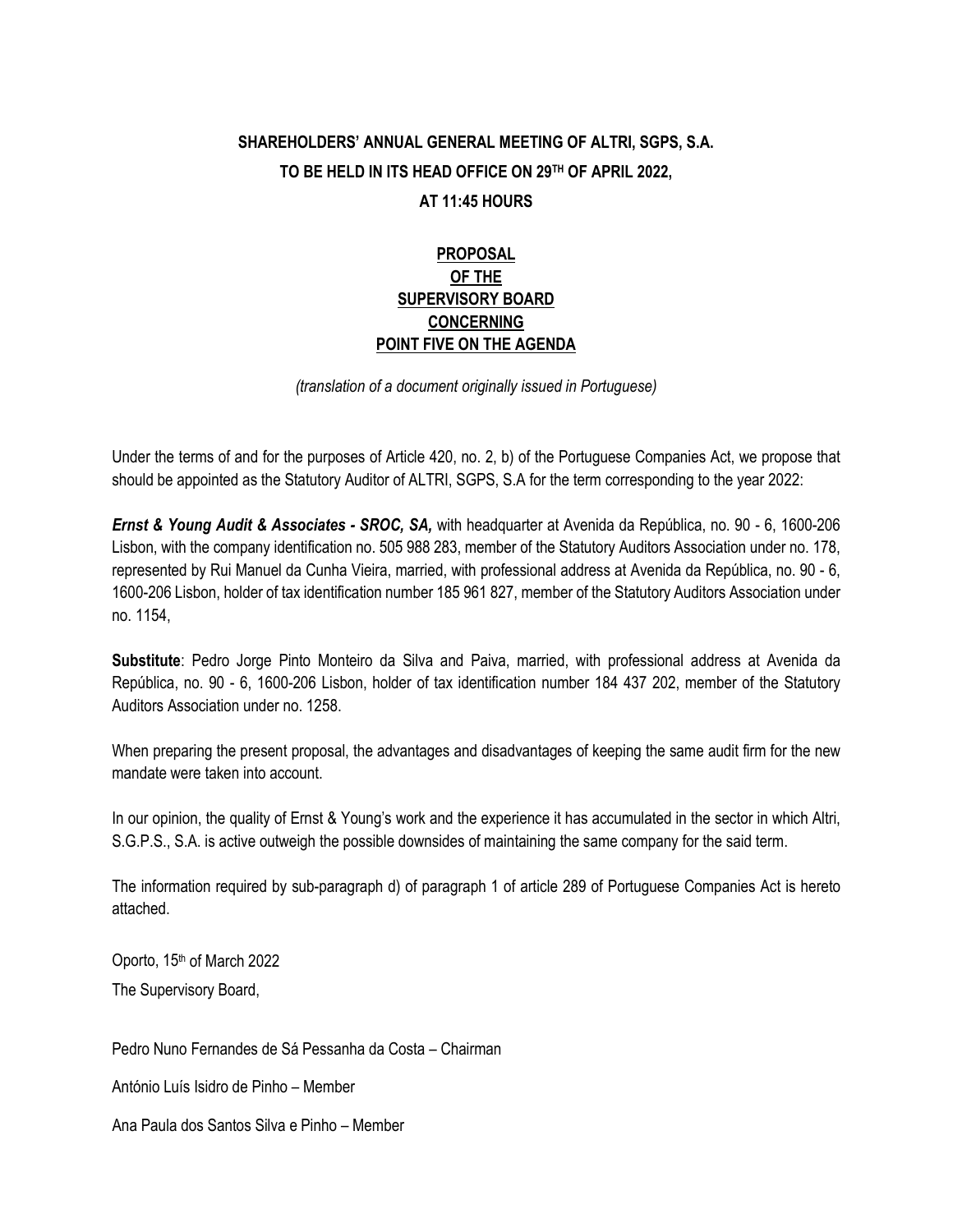### **SHAREHOLDERS' ANNUAL GENERAL MEETING OF ALTRI, SGPS, S.A. TO BE HELD IN ITS HEAD OFFICE ON 29TH OF APRIL 2022, AT 11:45 HOURS**

### **PROPOSAL OF THE SUPERVISORY BOARD CONCERNING POINT FIVE ON THE AGENDA**

*(translation of a document originally issued in Portuguese)*

Under the terms of and for the purposes of Article 420, no. 2, b) of the Portuguese Companies Act, we propose that should be appointed as the Statutory Auditor of ALTRI, SGPS, S.A for the term corresponding to the year 2022:

*Ernst & Young Audit & Associates - SROC, SA,* with headquarter at Avenida da República, no. 90 - 6, 1600-206 Lisbon, with the company identification no. 505 988 283, member of the Statutory Auditors Association under no. 178, represented by Rui Manuel da Cunha Vieira, married, with professional address at Avenida da República, no. 90 - 6, 1600-206 Lisbon, holder of tax identification number 185 961 827, member of the Statutory Auditors Association under no. 1154,

**Substitute**: Pedro Jorge Pinto Monteiro da Silva and Paiva, married, with professional address at Avenida da República, no. 90 - 6, 1600-206 Lisbon, holder of tax identification number 184 437 202, member of the Statutory Auditors Association under no. 1258.

When preparing the present proposal, the advantages and disadvantages of keeping the same audit firm for the new mandate were taken into account.

In our opinion, the quality of Ernst & Young's work and the experience it has accumulated in the sector in which Altri, S.G.P.S., S.A. is active outweigh the possible downsides of maintaining the same company for the said term.

The information required by sub-paragraph d) of paragraph 1 of article 289 of Portuguese Companies Act is hereto attached.

Oporto, 15th of March 2022 The Supervisory Board,

Pedro Nuno Fernandes de Sá Pessanha da Costa – Chairman

António Luís Isidro de Pinho – Member

Ana Paula dos Santos Silva e Pinho – Member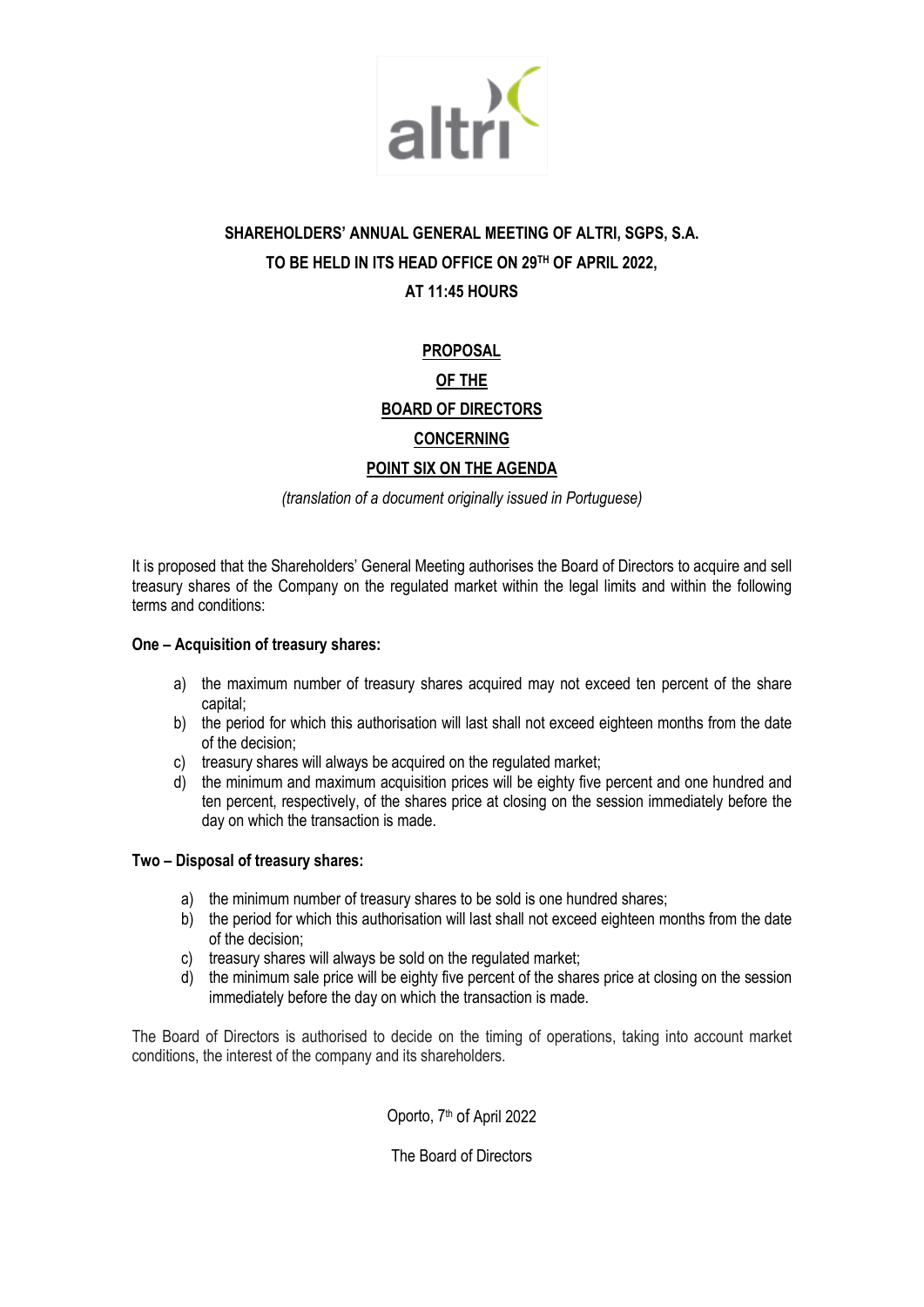

### **SHAREHOLDERS' ANNUAL GENERAL MEETING OF ALTRI, SGPS, S.A. TO BE HELD IN ITS HEAD OFFICE ON 29TH OF APRIL 2022, AT 11:45 HOURS**

# **PROPOSAL OF THE BOARD OF DIRECTORS CONCERNING**

### **POINT SIX ON THE AGENDA**

*(translation of a document originally issued in Portuguese)*

It is proposed that the Shareholders' General Meeting authorises the Board of Directors to acquire and sell treasury shares of the Company on the regulated market within the legal limits and within the following terms and conditions:

#### **One – Acquisition of treasury shares:**

- a) the maximum number of treasury shares acquired may not exceed ten percent of the share capital;
- b) the period for which this authorisation will last shall not exceed eighteen months from the date of the decision;
- c) treasury shares will always be acquired on the regulated market;
- d) the minimum and maximum acquisition prices will be eighty five percent and one hundred and ten percent, respectively, of the shares price at closing on the session immediately before the day on which the transaction is made.

#### **Two – Disposal of treasury shares:**

- a) the minimum number of treasury shares to be sold is one hundred shares;
- b) the period for which this authorisation will last shall not exceed eighteen months from the date of the decision;
- c) treasury shares will always be sold on the regulated market;
- d) the minimum sale price will be eighty five percent of the shares price at closing on the session immediately before the day on which the transaction is made.

The Board of Directors is authorised to decide on the timing of operations, taking into account market conditions, the interest of the company and its shareholders.

Oporto, 7th of April 2022